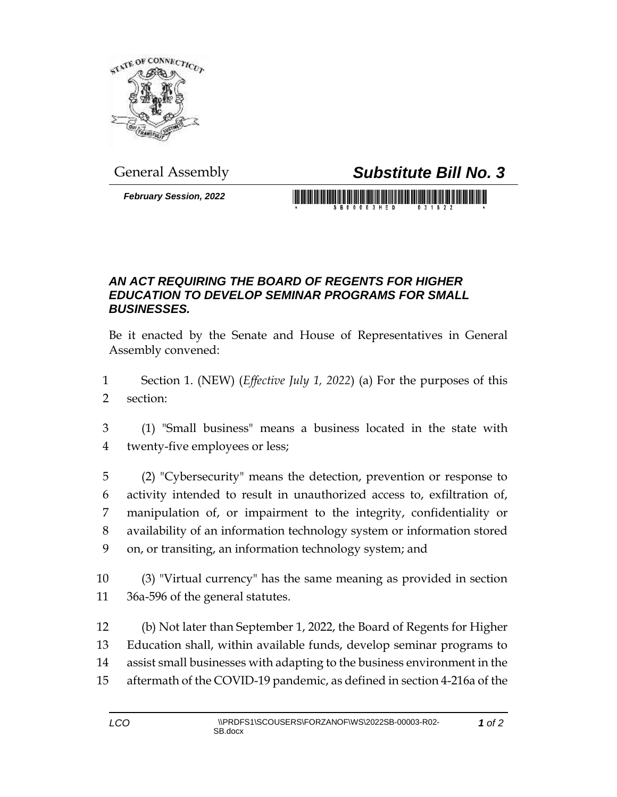

General Assembly *Substitute Bill No. 3*

*February Session, 2022*

## *AN ACT REQUIRING THE BOARD OF REGENTS FOR HIGHER EDUCATION TO DEVELOP SEMINAR PROGRAMS FOR SMALL BUSINESSES.*

Be it enacted by the Senate and House of Representatives in General Assembly convened:

- Section 1. (NEW) (*Effective July 1, 2022*) (a) For the purposes of this section:
- (1) "Small business" means a business located in the state with twenty-five employees or less;
- (2) "Cybersecurity" means the detection, prevention or response to activity intended to result in unauthorized access to, exfiltration of, manipulation of, or impairment to the integrity, confidentiality or availability of an information technology system or information stored on, or transiting, an information technology system; and
- (3) "Virtual currency" has the same meaning as provided in section 36a-596 of the general statutes.
- (b) Not later than September 1, 2022, the Board of Regents for Higher Education shall, within available funds, develop seminar programs to assist small businesses with adapting to the business environment in the aftermath of the COVID-19 pandemic, as defined in section 4-216a of the